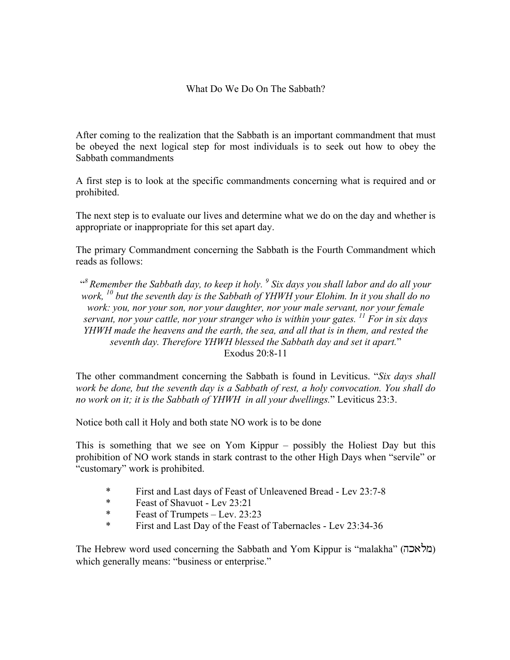## What Do We Do On The Sabbath?

After coming to the realization that the Sabbath is an important commandment that must be obeyed the next logical step for most individuals is to seek out how to obey the Sabbath commandments

A first step is to look at the specific commandments concerning what is required and or prohibited.

The next step is to evaluate our lives and determine what we do on the day and whether is appropriate or inappropriate for this set apart day.

The primary Commandment concerning the Sabbath is the Fourth Commandment which reads as follows:

" *8 Remember the Sabbath day, to keep it holy. 9 Six days you shall labor and do all your work, <sup>10</sup> but the seventh day is the Sabbath of YHWH your Elohim. In it you shall do no work: you, nor your son, nor your daughter, nor your male servant, nor your female servant, nor your cattle, nor your stranger who is within your gates. <sup>11</sup> For in six days YHWH made the heavens and the earth, the sea, and all that is in them, and rested the seventh day. Therefore YHWH blessed the Sabbath day and set it apart.*" Exodus 20:8-11

The other commandment concerning the Sabbath is found in Leviticus. "*Six days shall work be done, but the seventh day is a Sabbath of rest, a holy convocation. You shall do no work on it; it is the Sabbath of YHWH in all your dwellings.*" Leviticus 23:3.

Notice both call it Holy and both state NO work is to be done

This is something that we see on Yom Kippur – possibly the Holiest Day but this prohibition of NO work stands in stark contrast to the other High Days when "servile" or "customary" work is prohibited.

- \* First and Last days of Feast of Unleavened Bread Lev 23:7-8
- \* Feast of Shavuot Lev 23:21<br>  $\frac{1}{2}$  Feast of Trumpets Lev 23:
- Feast of Trumpets Lev.  $23:23$
- \* First and Last Day of the Feast of Tabernacles Lev 23:34-36

The Hebrew word used concerning the Sabbath and Yom Kippur is "malakha" (מלאכה) which generally means: "business or enterprise."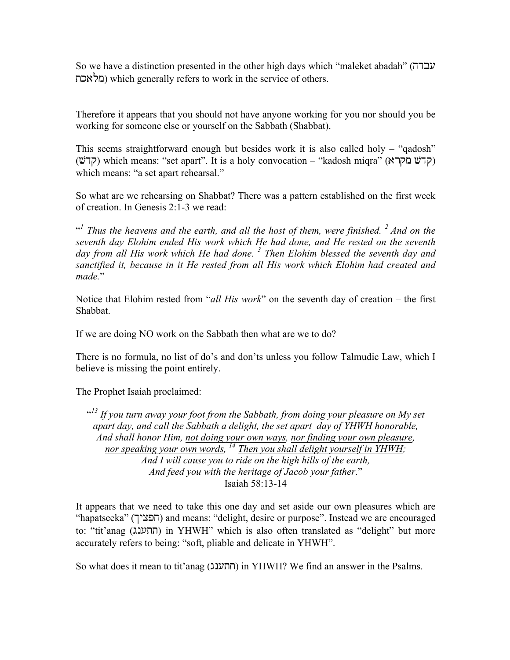So we have a distinction presented in the other high days which "maleket abadah" (עבדה ולאכת) which generally refers to work in the service of others.

Therefore it appears that you should not have anyone working for you nor should you be working for someone else or yourself on the Sabbath (Shabbat).

This seems straightforward enough but besides work it is also called holy – "qadosh" (קדשׁ) which means: "set apart". It is a holy convocation – "kadosh miqra" (קדשׁ מקרא which means: "a set apart rehearsal."

So what are we rehearsing on Shabbat? There was a pattern established on the first week of creation. In Genesis 2:1-3 we read:

<sup>41</sup> Thus the heavens and the earth, and all the host of them, were finished. <sup>2</sup> And on the *seventh day Elohim ended His work which He had done, and He rested on the seventh day from all His work which He had done. <sup>3</sup> Then Elohim blessed the seventh day and sanctified it, because in it He rested from all His work which Elohim had created and made.*"

Notice that Elohim rested from "*all His work*" on the seventh day of creation – the first Shabbat.

If we are doing NO work on the Sabbath then what are we to do?

There is no formula, no list of do's and don'ts unless you follow Talmudic Law, which I believe is missing the point entirely.

The Prophet Isaiah proclaimed:

<sup>413</sup> If you turn away your foot from the Sabbath, from doing your pleasure on My set *apart day, and call the Sabbath a delight, the set apart day of YHWH honorable, And shall honor Him, not doing your own ways, nor finding your own pleasure, nor speaking your own words, 14 Then you shall delight yourself in YHWH; And I will cause you to ride on the high hills of the earth, And feed you with the heritage of Jacob your father*." Isaiah 58:13-14

It appears that we need to take this one day and set aside our own pleasures which are "hapatseeka" (חפציך) and means: "delight, desire or purpose". Instead we are encouraged to: "tit'anag (התענג) in YHWH" which is also often translated as "delight" but more accurately refers to being: "soft, pliable and delicate in YHWH".

So what does it mean to tit'anag (חתענג) in YHWH? We find an answer in the Psalms.